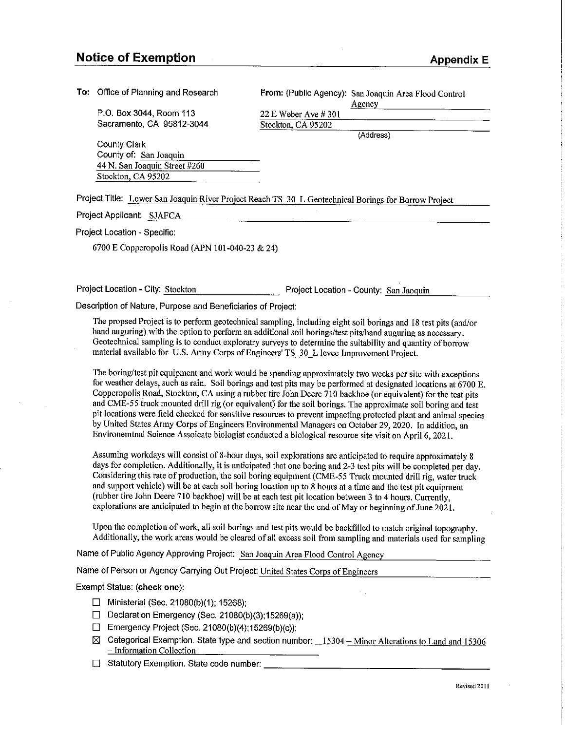## **Notice of Exemption Appendix E**

 $\sim 10^{-10}$ 

|                                                                                 | To: Office of Planning and Research                                                                                                                                                                                                                                                                                                                                                                                                                                                                                                                                                                                                                                                                                                                                                                  | From: (Public Agency): San Joaquin Area Flood Control<br>Agency                                                                                                                                                                 |  |  |
|---------------------------------------------------------------------------------|------------------------------------------------------------------------------------------------------------------------------------------------------------------------------------------------------------------------------------------------------------------------------------------------------------------------------------------------------------------------------------------------------------------------------------------------------------------------------------------------------------------------------------------------------------------------------------------------------------------------------------------------------------------------------------------------------------------------------------------------------------------------------------------------------|---------------------------------------------------------------------------------------------------------------------------------------------------------------------------------------------------------------------------------|--|--|
|                                                                                 | P.O. Box 3044, Room 113                                                                                                                                                                                                                                                                                                                                                                                                                                                                                                                                                                                                                                                                                                                                                                              | 22 E Weber Ave #301                                                                                                                                                                                                             |  |  |
|                                                                                 | Sacramento, CA 95812-3044                                                                                                                                                                                                                                                                                                                                                                                                                                                                                                                                                                                                                                                                                                                                                                            | Stockton, CA 95202<br>(Address)                                                                                                                                                                                                 |  |  |
|                                                                                 | <b>County Clerk</b>                                                                                                                                                                                                                                                                                                                                                                                                                                                                                                                                                                                                                                                                                                                                                                                  |                                                                                                                                                                                                                                 |  |  |
|                                                                                 | County of: San Joaquin<br>44 N. San Joaquin Street #260                                                                                                                                                                                                                                                                                                                                                                                                                                                                                                                                                                                                                                                                                                                                              |                                                                                                                                                                                                                                 |  |  |
|                                                                                 | Stockton, CA 95202                                                                                                                                                                                                                                                                                                                                                                                                                                                                                                                                                                                                                                                                                                                                                                                   |                                                                                                                                                                                                                                 |  |  |
|                                                                                 |                                                                                                                                                                                                                                                                                                                                                                                                                                                                                                                                                                                                                                                                                                                                                                                                      | Project Title: Lower San Joaquin River Project Reach TS_30_L Geotechnical Borings for Borrow Project                                                                                                                            |  |  |
|                                                                                 | Project Applicant: SJAFCA                                                                                                                                                                                                                                                                                                                                                                                                                                                                                                                                                                                                                                                                                                                                                                            |                                                                                                                                                                                                                                 |  |  |
|                                                                                 | Project Location - Specific:                                                                                                                                                                                                                                                                                                                                                                                                                                                                                                                                                                                                                                                                                                                                                                         |                                                                                                                                                                                                                                 |  |  |
|                                                                                 | 6700 E Copperopolis Road (APN 101-040-23 & 24)                                                                                                                                                                                                                                                                                                                                                                                                                                                                                                                                                                                                                                                                                                                                                       |                                                                                                                                                                                                                                 |  |  |
|                                                                                 |                                                                                                                                                                                                                                                                                                                                                                                                                                                                                                                                                                                                                                                                                                                                                                                                      |                                                                                                                                                                                                                                 |  |  |
|                                                                                 |                                                                                                                                                                                                                                                                                                                                                                                                                                                                                                                                                                                                                                                                                                                                                                                                      |                                                                                                                                                                                                                                 |  |  |
|                                                                                 | Project Location - City: Stockton                                                                                                                                                                                                                                                                                                                                                                                                                                                                                                                                                                                                                                                                                                                                                                    | Project Location - County: San Jaoquin                                                                                                                                                                                          |  |  |
| Description of Nature, Purpose and Beneficiaries of Project:                    |                                                                                                                                                                                                                                                                                                                                                                                                                                                                                                                                                                                                                                                                                                                                                                                                      |                                                                                                                                                                                                                                 |  |  |
|                                                                                 | The propsed Project is to perform geotechnical sampling, including eight soil borings and 18 test pits (and/or<br>hand auguring) with the option to perform an additional soil borings/test pits/hand auguring as necessary.<br>Geotechnical sampling is to conduct exploratry surveys to determine the suitability and quantity of borrow<br>material available for U.S. Army Corps of Engineers' TS_30_L levee Improvement Project.                                                                                                                                                                                                                                                                                                                                                                |                                                                                                                                                                                                                                 |  |  |
|                                                                                 | The boring/test pit equipment and work would be spending approximately two weeks per site with exceptions<br>for weather delays, such as rain. Soil borings and test pits may be performed at designated locations at 6700 E.<br>Copperopolis Road, Stockton, CA using a rubber tire John Deere 710 backhoe (or equivalent) for the test pits<br>and CME-55 truck mounted drill rig (or equivalent) for the soil borings. The approximate soil boring and test<br>pit locations were field checked for sensitive resources to prevent impacting protected plant and animal species<br>by United States Army Corps of Engineers Environmental Managers on October 29, 2020. In addition, an<br>Environemtnal Science Assoicate biologist conducted a biological resource site visit on April 6, 2021. |                                                                                                                                                                                                                                 |  |  |
|                                                                                 | Assuming workdays will consist of 8-hour days, soil explorations are anticipated to require approximately 8<br>days for completion. Additionally, it is anticipated that one boring and 2-3 test pits will be completed per day.<br>Considering this rate of production, the soil boring equipment (CME-55 Truck mounted drill rig, water truck<br>and support vehicle) will be at each soil boring location up to 8 hours at a time and the test pit equipment<br>(rubber tire John Deere 710 backhoe) will be at each test pit location between 3 to 4 hours. Currently,<br>explorations are anticipated to begin at the borrow site near the end of May or beginning of June 2021.                                                                                                                |                                                                                                                                                                                                                                 |  |  |
|                                                                                 |                                                                                                                                                                                                                                                                                                                                                                                                                                                                                                                                                                                                                                                                                                                                                                                                      | Upon the completion of work, all soil borings and test pits would be backfilled to match original topography.<br>Additionally, the work areas would be cleared of all excess soil from sampling and materials used for sampling |  |  |
| Name of Public Agency Approving Project: San Joaquin Area Flood Control Agency  |                                                                                                                                                                                                                                                                                                                                                                                                                                                                                                                                                                                                                                                                                                                                                                                                      |                                                                                                                                                                                                                                 |  |  |
| Name of Person or Agency Carrying Out Project: United States Corps of Engineers |                                                                                                                                                                                                                                                                                                                                                                                                                                                                                                                                                                                                                                                                                                                                                                                                      |                                                                                                                                                                                                                                 |  |  |
| Exempt Status: (check one):                                                     |                                                                                                                                                                                                                                                                                                                                                                                                                                                                                                                                                                                                                                                                                                                                                                                                      |                                                                                                                                                                                                                                 |  |  |
|                                                                                 | Ministerial (Sec. 21080(b)(1); 15268);<br>l 1                                                                                                                                                                                                                                                                                                                                                                                                                                                                                                                                                                                                                                                                                                                                                        |                                                                                                                                                                                                                                 |  |  |
|                                                                                 | Declaration Emergency (Sec. 21080(b)(3);15269(a));<br>$\mathsf{I}$<br>Emergency Project (Sec. 21080(b)(4);15269(b)(c));<br>П                                                                                                                                                                                                                                                                                                                                                                                                                                                                                                                                                                                                                                                                         |                                                                                                                                                                                                                                 |  |  |

l.

- $[8]$  Categorical Exemption. State type and section number:  $15304-Minor$  Alterations to Land and 15306 - Information Collection
- D Statutory Exemption. State code number: \_\_\_\_\_\_\_\_\_\_\_\_\_\_\_\_\_\_\_\_ \_

i,